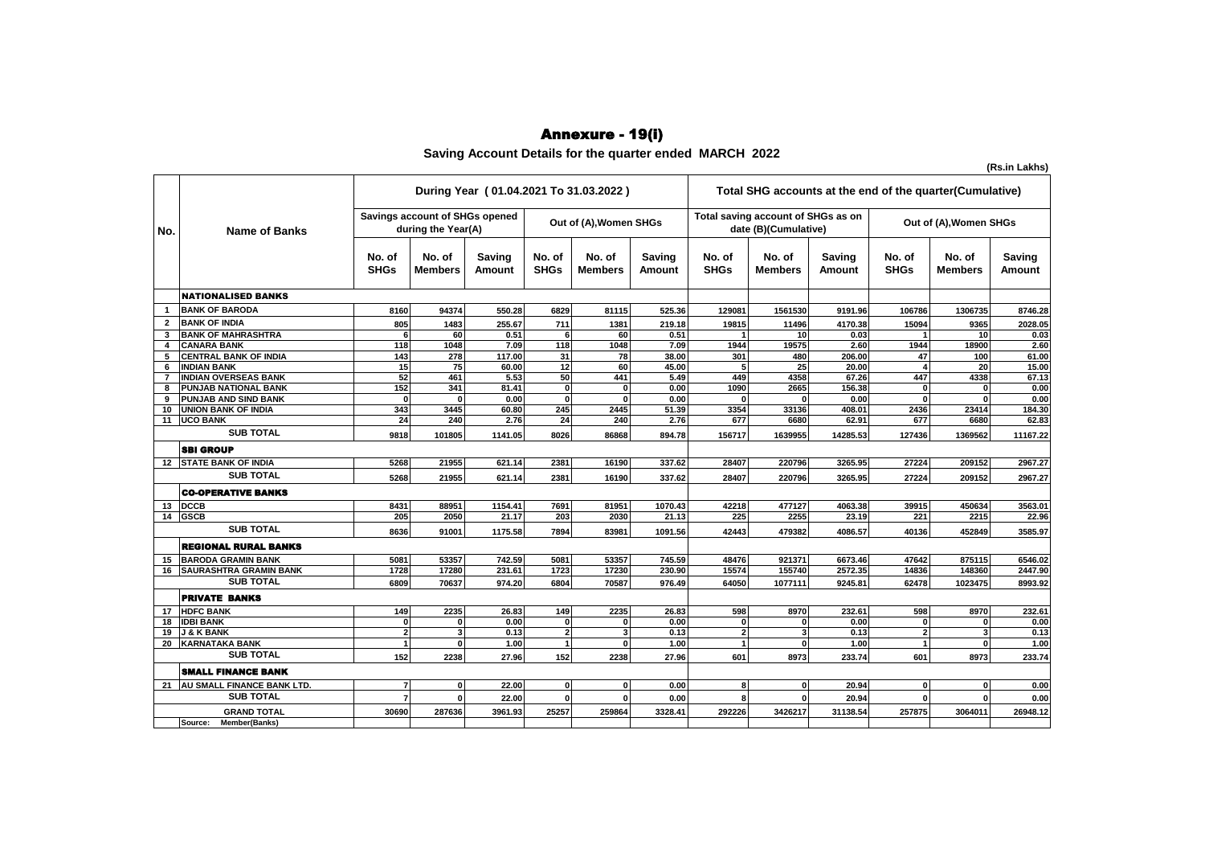## Annexure - 19(i)

**Saving Account Details for the quarter ended MARCH 2022**

|                |                               |                                                      |                          | During Year (01.04.2021 To 31.03.2022) |                        |                          |                  |                                                            | Total SHG accounts at the end of the quarter (Cumulative) |                  |                        |                          |                  |
|----------------|-------------------------------|------------------------------------------------------|--------------------------|----------------------------------------|------------------------|--------------------------|------------------|------------------------------------------------------------|-----------------------------------------------------------|------------------|------------------------|--------------------------|------------------|
| No.            | <b>Name of Banks</b>          | Savings account of SHGs opened<br>during the Year(A) |                          |                                        | Out of (A), Women SHGs |                          |                  | Total saving account of SHGs as on<br>date (B)(Cumulative) |                                                           |                  | Out of (A), Women SHGs |                          |                  |
|                |                               | No. of<br><b>SHGs</b>                                | No. of<br><b>Members</b> | Saving<br>Amount                       | No. of<br><b>SHGs</b>  | No. of<br><b>Members</b> | Saving<br>Amount | No. of<br><b>SHGs</b>                                      | No. of<br><b>Members</b>                                  | Saving<br>Amount | No. of<br><b>SHGs</b>  | No. of<br><b>Members</b> | Saving<br>Amount |
|                | <b>NATIONALISED BANKS</b>     |                                                      |                          |                                        |                        |                          |                  |                                                            |                                                           |                  |                        |                          |                  |
|                | <b>BANK OF BARODA</b>         | 8160                                                 | 94374                    | 550.28                                 | 6829                   | 81115                    | 525.36           | 129081                                                     | 1561530                                                   | 9191.96          | 106786                 | 1306735                  | 8746.28          |
| $\overline{2}$ | <b>BANK OF INDIA</b>          | 805                                                  | 1483                     | 255.67                                 | 711                    | 1381                     | 219.18           |                                                            |                                                           | 4170.38          | 15094                  | 9365                     | 2028.05          |
| 3              | <b>BANK OF MAHRASHTRA</b>     | 6                                                    | 60                       | 0.51                                   | 6                      | 60                       | 0.51             | 19815                                                      | 11496<br>10                                               | 0.03             |                        | 10 <sup>1</sup>          | 0.03             |
| 4              | <b>CANARA BANK</b>            | 118                                                  | 1048                     | 7.09                                   | 118                    | 1048                     | 7.09             | 1944                                                       | 19575                                                     | 2.60             | 1944                   | 18900                    | 2.60             |
| 5              | <b>CENTRAL BANK OF INDIA</b>  | 143                                                  | 278                      | 117.00                                 | 31                     | 78                       | 38.00            | 301                                                        | 480                                                       | 206.00           | 47                     | 100                      | 61.00            |
| 6              | <b>INDIAN BANK</b>            | 15                                                   | 75                       | 60.00                                  | 12                     | 60                       | 45.00            | 5                                                          | 25                                                        | 20.00            | $\overline{4}$         | 20                       | 15.00            |
| $\overline{7}$ | <b>INDIAN OVERSEAS BANK</b>   | 52                                                   | 461                      | 5.53                                   | 50                     | 441                      | 5.49             | 449                                                        | 4358                                                      | 67.26            | 447                    | 4338                     | 67.13            |
| 8              | PUNJAB NATIONAL BANK          | 152                                                  | 341                      | 81.41                                  | $\mathbf{0}$           | 0                        | 0.00             | 1090                                                       | 2665                                                      | 156.38           | 0                      | $\mathbf{0}$             | 0.00             |
| 9              | PUNJAB AND SIND BANK          | $\Omega$                                             | n                        | 0.00                                   | <b>n</b>               | $\Omega$                 | 0.00             | $\bf{0}$                                                   | n                                                         | 0.00             | <sub>0</sub>           | O                        | 0.00             |
| 10             | <b>UNION BANK OF INDIA</b>    | 343                                                  | 3445                     | 60.80                                  | 245                    | 2445                     | 51.39            | 3354                                                       | 33136                                                     | 408.01           | 2436                   | 23414                    | 184.30           |
| 11             | <b>UCO BANK</b>               | 24                                                   | 240                      | 2.76                                   | 24                     | 240                      | 2.76             | 677                                                        | 6680                                                      | 62.91            | 677                    | 6680                     | 62.83            |
|                | <b>SUB TOTAL</b>              | 9818                                                 | 101805                   | 1141.05                                | 8026                   | 86868                    | 894.78           | 156717                                                     | 1639955                                                   | 14285.53         | 127436                 | 1369562                  | 11167.22         |
|                | <b>SBI GROUP</b>              |                                                      |                          |                                        |                        |                          |                  |                                                            |                                                           |                  |                        |                          |                  |
| 12             | <b>STATE BANK OF INDIA</b>    | 5268                                                 | 21955                    | 621.14                                 | 2381                   | 16190                    | 337.62           | 28407                                                      | 220796                                                    | 3265.95          | 27224                  | 209152                   | 2967.27          |
|                | <b>SUB TOTAL</b>              | 5268                                                 | 21955                    | 621.14                                 | 2381                   | 16190                    | 337.62           | 28407                                                      | 220796                                                    | 3265.95          | 27224                  | 209152                   | 2967.27          |
|                | <b>CO-OPERATIVE BANKS</b>     |                                                      |                          |                                        |                        |                          |                  |                                                            |                                                           |                  |                        |                          |                  |
| 13             | <b>DCCB</b>                   | 8431                                                 | 88951                    | 1154.41                                | 7691                   | 81951                    | 1070.43          | 42218                                                      | 477127                                                    | 4063.38          | 39915                  | 450634                   | 3563.01          |
| 14             | <b>GSCB</b>                   | 205                                                  | 2050                     | 21.17                                  | 203                    | 2030                     | 21.13            | 225                                                        | 2255                                                      | 23.19            | 221                    | 2215                     | 22.96            |
|                | <b>SUB TOTAL</b>              | 8636                                                 | 91001                    | 1175.58                                | 7894                   | 83981                    | 1091.56          | 42443                                                      | 479382                                                    | 4086.57          | 40136                  | 452849                   | 3585.97          |
|                | <b>REGIONAL RURAL BANKS</b>   |                                                      |                          |                                        |                        |                          |                  |                                                            |                                                           |                  |                        |                          |                  |
| 15             | <b>BARODA GRAMIN BANK</b>     | 5081                                                 | 53357                    | 742.59                                 | 5081                   | 53357                    | 745.59           | 48476                                                      | 921371                                                    | 6673.46          | 47642                  | 875115                   | 6546.02          |
| 16             | <b>SAURASHTRA GRAMIN BANK</b> | 1728                                                 | 17280                    | 231.61                                 | 1723                   | 17230                    | 230.90           | 15574                                                      | 155740                                                    | 2572.35          | 14836                  | 148360                   | 2447.90          |
|                | <b>SUB TOTAL</b>              | 6809                                                 | 70637                    | 974.20                                 | 6804                   | 70587                    | 976.49           | 64050                                                      | 1077111                                                   | 9245.81          | 62478                  | 1023475                  | 8993.92          |
|                | <b>PRIVATE BANKS</b>          |                                                      |                          |                                        |                        |                          |                  |                                                            |                                                           |                  |                        |                          |                  |
| 17             | <b>HDFC BANK</b>              | 149                                                  | 2235                     | 26.83                                  | 149                    | 2235                     | 26.83            | 598                                                        | 8970                                                      | 232.61           | 598                    | 8970                     | 232.61           |
| 18             | <b>IDBI BANK</b>              | $\mathbf 0$                                          | 0                        | 0.00                                   | $\mathbf{0}$           | $\mathbf{0}$             | 0.00             | $\mathbf{0}$                                               | 0                                                         | 0.00             | $\mathbf{0}$           | 0                        | 0.00             |
| 19             | <b>J &amp; K BANK</b>         | $\overline{2}$                                       | 3                        | 0.13                                   | $\overline{2}$         | 3                        | 0.13             | $\overline{\mathbf{2}}$                                    | 3                                                         | 0.13             | $\overline{2}$         | 3 <sup>1</sup>           | 0.13             |
| 20             | <b>KARNATAKA BANK</b>         | $\overline{\mathbf{1}}$                              | 0                        | 1.00                                   | $\mathbf{1}$           | $\mathbf{0}$             | 1.00             | $\mathbf{1}$                                               | 0                                                         | 1.00             | $\mathbf{1}$           | $\mathbf{0}$             | 1.00             |
|                | <b>SUB TOTAL</b>              | 152                                                  | 2238                     | 27.96                                  | 152                    | 2238                     | 27.96            | 601                                                        | 8973                                                      | 233.74           | 601                    | 8973                     | 233.74           |
|                | <b>SMALL FINANCE BANK</b>     |                                                      |                          |                                        |                        |                          |                  |                                                            |                                                           |                  |                        |                          |                  |
| 21             | AU SMALL FINANCE BANK LTD.    | 7                                                    | 0                        | 22.00                                  | $\mathbf{0}$           | $\mathbf{0}$             | 0.00             | 8                                                          | 0                                                         | 20.94            | $\mathbf{0}$           | $\mathbf{0}$             | 0.00             |
|                | <b>SUB TOTAL</b>              | 7                                                    | $\Omega$                 | 22.00                                  | $\mathbf{0}$           | $\mathbf{a}$             | 0.00             | 8                                                          | O                                                         | 20.94            | $\mathbf{0}$           | n                        | 0.00             |
|                | <b>GRAND TOTAL</b>            | 30690                                                | 287636                   | 3961.93                                | 25257                  | 259864                   | 3328.41          | 292226                                                     | 3426217                                                   | 31138.54         | 257875                 | 3064011                  | 26948.12         |
|                | Source:<br>Member(Banks)      |                                                      |                          |                                        |                        |                          |                  |                                                            |                                                           |                  |                        |                          |                  |

**(Rs.in Lakhs)**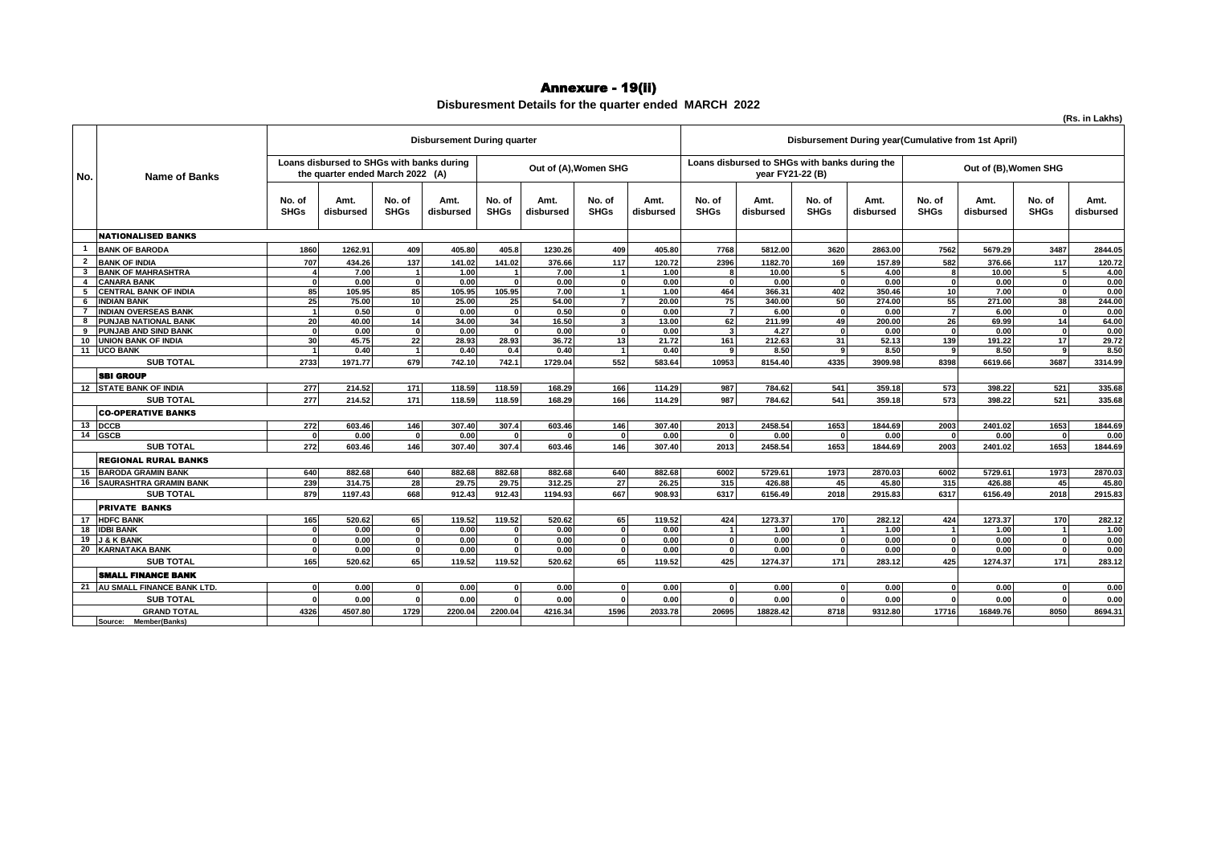#### Annexure - 19(ii)

#### **Disburesment Details for the quarter ended MARCH 2022**

**(Rs. in Lakhs)**

| Disbursement During year(Cumulative from 1st April)<br><b>Disbursement During quarter</b><br>Loans disbursed to SHGs with banks during<br>Loans disbursed to SHGs with banks during the<br>Out of (A), Women SHG<br>Out of (B), Women SHG<br>the quarter ended March 2022 (A)<br>year FY21-22 (B)<br>Name of Banks<br>No.<br>No. of<br>No. of<br>No. of<br>No. of<br>No. of<br>Amt.<br>Amt.<br>Amt.<br>Amt.<br>No. of<br>Amt.<br>No. of<br>Amt.<br>No. of<br>Amt.<br><b>SHGs</b><br><b>SHGs</b><br><b>SHGs</b><br><b>SHGs</b><br><b>SHGs</b><br><b>SHGs</b><br><b>SHGs</b><br><b>SHGs</b><br>disbursed<br>disbursed<br>disbursed<br>disbursed<br>disbursed<br>disbursed<br>disbursed<br>disbursed<br><b>NATIONALISED BANKS</b><br><b>BANK OF BARODA</b><br>1860<br>1262.91<br>409<br>405.80<br>405.8<br>1230.26<br>409<br>405.80<br>7768<br>5812.00<br>3620<br>7562<br>5679.29<br>3487<br>2863.00<br>$\overline{\mathbf{2}}$<br>707<br>137<br>117<br>582<br>$117$<br><b>BANK OF INDIA</b><br>434.26<br>141.02<br>141.02<br>376.66<br>120.72<br>2396<br>1182.70<br>169<br>157.89<br>376.66<br><b>BANK OF MAHRASHTRA</b><br>10.00<br>7.00<br>1.00<br>7.00<br>1.00<br>10.00<br>4.00<br>5 <sup>1</sup><br>3<br>8<br>$\mathbf{1}$<br>$\overline{1}$<br>-5<br>0.00<br>0.00<br>0.00<br><b>CANARA BANK</b><br>0.00<br>0.00<br>0.00<br>0.00<br>$\Omega$<br>$\mathbf{A}$<br>$\mathbf{0}$<br>$\mathbf{0}$<br>$\Omega$<br>$\Omega$<br>85<br>85<br>464<br>366.31<br>402<br>350.46<br>10<br>7.00<br>5<br><b>CENTRAL BANK OF INDIA</b><br>105.95<br>105.95<br>105.95<br>7.00<br>1.00<br>$\Omega$<br>25<br>50<br>55<br>271.00<br>38<br><b>INDIAN BANK</b><br>75.00<br>10<br>25.00<br>25<br>54.00<br>20.00<br>75<br>340.00<br>274.00<br>$\overline{7}$<br>6<br><b>INDIAN OVERSEAS BANK</b><br>0.00<br>0.50<br>0.00<br>$\overline{7}$<br>6.00<br>$\mathbf{0}$<br>$\overline{7}$<br>$\overline{1}$<br>0.50<br>$\Omega$<br>$\mathbf{0}$<br>6.00<br>$\Omega$<br>0.00<br>$\overline{\phantom{a}}$<br>26<br>14<br>20<br>14<br>34.00<br>62<br>49<br>200.00<br>69.99<br>PUNJAB NATIONAL BANK<br>40.00<br>34<br>16.50<br>13.00<br>211.99<br>3 <sup>1</sup><br>8<br><b>PUNJAB AND SIND BANK</b><br>0.00<br>0.00<br>0.00<br>0.00<br>4.27<br>0.00<br>0.00<br>$\mathbf{0}$<br>9<br>0<br>$\mathbf{0}$<br>0<br>$\mathbf{0}$<br>$\Omega$<br>$\Omega$<br><b>UNION BANK OF INDIA</b><br>30<br>28.93<br>28.93<br>36.72<br>212.63<br>31<br>52.13<br>139<br>191.22<br>17<br>45.75<br>22<br>13<br>21.72<br>161<br>10<br><b>UCO BANK</b><br>0.40<br>0.40<br>0.40<br>0.40<br>8.50<br>8.50<br>8.50<br>11<br>0.4<br>-9<br>$\mathbf{a}$<br>9<br>$\mathbf{1}$<br><b>SUB TOTAL</b><br>552<br>4335<br>3687<br>2733<br>1971.77<br>679<br>742.1<br>583.64<br>10953<br>8154.40<br>8398<br>6619.66<br>742.10<br>1729.04<br>3909.98<br><b>SBI GROUP</b><br>12 STATE BANK OF INDIA<br>277<br>214.52<br>118.59<br>118.59<br>541<br>359.18<br>398.22<br>521<br>171<br>168.29<br>166<br>114.29<br>987<br>784.62<br>573<br>277<br>166<br>541<br>573<br>521<br>171<br>987<br>398.22<br><b>SUB TOTAL</b><br>214.52<br>118.59<br>114.29<br>784.62<br>359.18<br>118.59<br>168.29<br><b>CO-OPERATIVE BANKS</b><br>272<br>13 DCCB<br>603.46<br>146<br>307.40<br>307.4<br>146<br>307.40<br>2013<br>2458.54<br>1653<br>1844.69<br>2003<br>2401.02<br>1653<br>603.46<br>14 GSCB<br>0.00<br>0.00<br>0.00<br>0.00<br>0.00<br>0.00<br>$\mathbf{0}$<br>$\Omega$<br>n |
|------------------------------------------------------------------------------------------------------------------------------------------------------------------------------------------------------------------------------------------------------------------------------------------------------------------------------------------------------------------------------------------------------------------------------------------------------------------------------------------------------------------------------------------------------------------------------------------------------------------------------------------------------------------------------------------------------------------------------------------------------------------------------------------------------------------------------------------------------------------------------------------------------------------------------------------------------------------------------------------------------------------------------------------------------------------------------------------------------------------------------------------------------------------------------------------------------------------------------------------------------------------------------------------------------------------------------------------------------------------------------------------------------------------------------------------------------------------------------------------------------------------------------------------------------------------------------------------------------------------------------------------------------------------------------------------------------------------------------------------------------------------------------------------------------------------------------------------------------------------------------------------------------------------------------------------------------------------------------------------------------------------------------------------------------------------------------------------------------------------------------------------------------------------------------------------------------------------------------------------------------------------------------------------------------------------------------------------------------------------------------------------------------------------------------------------------------------------------------------------------------------------------------------------------------------------------------------------------------------------------------------------------------------------------------------------------------------------------------------------------------------------------------------------------------------------------------------------------------------------------------------------------------------------------------------------------------------------------------------------------------------------------------------------------------------------------------------------------------------------------------------------------------------------------------------------------------------------------------------------------------------------------------------------------------------------------------------------------------------------------------------------------|
|                                                                                                                                                                                                                                                                                                                                                                                                                                                                                                                                                                                                                                                                                                                                                                                                                                                                                                                                                                                                                                                                                                                                                                                                                                                                                                                                                                                                                                                                                                                                                                                                                                                                                                                                                                                                                                                                                                                                                                                                                                                                                                                                                                                                                                                                                                                                                                                                                                                                                                                                                                                                                                                                                                                                                                                                                                                                                                                                                                                                                                                                                                                                                                                                                                                                                                                                                                                                |
|                                                                                                                                                                                                                                                                                                                                                                                                                                                                                                                                                                                                                                                                                                                                                                                                                                                                                                                                                                                                                                                                                                                                                                                                                                                                                                                                                                                                                                                                                                                                                                                                                                                                                                                                                                                                                                                                                                                                                                                                                                                                                                                                                                                                                                                                                                                                                                                                                                                                                                                                                                                                                                                                                                                                                                                                                                                                                                                                                                                                                                                                                                                                                                                                                                                                                                                                                                                                |
|                                                                                                                                                                                                                                                                                                                                                                                                                                                                                                                                                                                                                                                                                                                                                                                                                                                                                                                                                                                                                                                                                                                                                                                                                                                                                                                                                                                                                                                                                                                                                                                                                                                                                                                                                                                                                                                                                                                                                                                                                                                                                                                                                                                                                                                                                                                                                                                                                                                                                                                                                                                                                                                                                                                                                                                                                                                                                                                                                                                                                                                                                                                                                                                                                                                                                                                                                                                                |
|                                                                                                                                                                                                                                                                                                                                                                                                                                                                                                                                                                                                                                                                                                                                                                                                                                                                                                                                                                                                                                                                                                                                                                                                                                                                                                                                                                                                                                                                                                                                                                                                                                                                                                                                                                                                                                                                                                                                                                                                                                                                                                                                                                                                                                                                                                                                                                                                                                                                                                                                                                                                                                                                                                                                                                                                                                                                                                                                                                                                                                                                                                                                                                                                                                                                                                                                                                                                |
|                                                                                                                                                                                                                                                                                                                                                                                                                                                                                                                                                                                                                                                                                                                                                                                                                                                                                                                                                                                                                                                                                                                                                                                                                                                                                                                                                                                                                                                                                                                                                                                                                                                                                                                                                                                                                                                                                                                                                                                                                                                                                                                                                                                                                                                                                                                                                                                                                                                                                                                                                                                                                                                                                                                                                                                                                                                                                                                                                                                                                                                                                                                                                                                                                                                                                                                                                                                                |
|                                                                                                                                                                                                                                                                                                                                                                                                                                                                                                                                                                                                                                                                                                                                                                                                                                                                                                                                                                                                                                                                                                                                                                                                                                                                                                                                                                                                                                                                                                                                                                                                                                                                                                                                                                                                                                                                                                                                                                                                                                                                                                                                                                                                                                                                                                                                                                                                                                                                                                                                                                                                                                                                                                                                                                                                                                                                                                                                                                                                                                                                                                                                                                                                                                                                                                                                                                                                |
|                                                                                                                                                                                                                                                                                                                                                                                                                                                                                                                                                                                                                                                                                                                                                                                                                                                                                                                                                                                                                                                                                                                                                                                                                                                                                                                                                                                                                                                                                                                                                                                                                                                                                                                                                                                                                                                                                                                                                                                                                                                                                                                                                                                                                                                                                                                                                                                                                                                                                                                                                                                                                                                                                                                                                                                                                                                                                                                                                                                                                                                                                                                                                                                                                                                                                                                                                                                                |
|                                                                                                                                                                                                                                                                                                                                                                                                                                                                                                                                                                                                                                                                                                                                                                                                                                                                                                                                                                                                                                                                                                                                                                                                                                                                                                                                                                                                                                                                                                                                                                                                                                                                                                                                                                                                                                                                                                                                                                                                                                                                                                                                                                                                                                                                                                                                                                                                                                                                                                                                                                                                                                                                                                                                                                                                                                                                                                                                                                                                                                                                                                                                                                                                                                                                                                                                                                                                |
|                                                                                                                                                                                                                                                                                                                                                                                                                                                                                                                                                                                                                                                                                                                                                                                                                                                                                                                                                                                                                                                                                                                                                                                                                                                                                                                                                                                                                                                                                                                                                                                                                                                                                                                                                                                                                                                                                                                                                                                                                                                                                                                                                                                                                                                                                                                                                                                                                                                                                                                                                                                                                                                                                                                                                                                                                                                                                                                                                                                                                                                                                                                                                                                                                                                                                                                                                                                                |
|                                                                                                                                                                                                                                                                                                                                                                                                                                                                                                                                                                                                                                                                                                                                                                                                                                                                                                                                                                                                                                                                                                                                                                                                                                                                                                                                                                                                                                                                                                                                                                                                                                                                                                                                                                                                                                                                                                                                                                                                                                                                                                                                                                                                                                                                                                                                                                                                                                                                                                                                                                                                                                                                                                                                                                                                                                                                                                                                                                                                                                                                                                                                                                                                                                                                                                                                                                                                |
|                                                                                                                                                                                                                                                                                                                                                                                                                                                                                                                                                                                                                                                                                                                                                                                                                                                                                                                                                                                                                                                                                                                                                                                                                                                                                                                                                                                                                                                                                                                                                                                                                                                                                                                                                                                                                                                                                                                                                                                                                                                                                                                                                                                                                                                                                                                                                                                                                                                                                                                                                                                                                                                                                                                                                                                                                                                                                                                                                                                                                                                                                                                                                                                                                                                                                                                                                                                                |
|                                                                                                                                                                                                                                                                                                                                                                                                                                                                                                                                                                                                                                                                                                                                                                                                                                                                                                                                                                                                                                                                                                                                                                                                                                                                                                                                                                                                                                                                                                                                                                                                                                                                                                                                                                                                                                                                                                                                                                                                                                                                                                                                                                                                                                                                                                                                                                                                                                                                                                                                                                                                                                                                                                                                                                                                                                                                                                                                                                                                                                                                                                                                                                                                                                                                                                                                                                                                |
|                                                                                                                                                                                                                                                                                                                                                                                                                                                                                                                                                                                                                                                                                                                                                                                                                                                                                                                                                                                                                                                                                                                                                                                                                                                                                                                                                                                                                                                                                                                                                                                                                                                                                                                                                                                                                                                                                                                                                                                                                                                                                                                                                                                                                                                                                                                                                                                                                                                                                                                                                                                                                                                                                                                                                                                                                                                                                                                                                                                                                                                                                                                                                                                                                                                                                                                                                                                                |
|                                                                                                                                                                                                                                                                                                                                                                                                                                                                                                                                                                                                                                                                                                                                                                                                                                                                                                                                                                                                                                                                                                                                                                                                                                                                                                                                                                                                                                                                                                                                                                                                                                                                                                                                                                                                                                                                                                                                                                                                                                                                                                                                                                                                                                                                                                                                                                                                                                                                                                                                                                                                                                                                                                                                                                                                                                                                                                                                                                                                                                                                                                                                                                                                                                                                                                                                                                                                |
|                                                                                                                                                                                                                                                                                                                                                                                                                                                                                                                                                                                                                                                                                                                                                                                                                                                                                                                                                                                                                                                                                                                                                                                                                                                                                                                                                                                                                                                                                                                                                                                                                                                                                                                                                                                                                                                                                                                                                                                                                                                                                                                                                                                                                                                                                                                                                                                                                                                                                                                                                                                                                                                                                                                                                                                                                                                                                                                                                                                                                                                                                                                                                                                                                                                                                                                                                                                                |
|                                                                                                                                                                                                                                                                                                                                                                                                                                                                                                                                                                                                                                                                                                                                                                                                                                                                                                                                                                                                                                                                                                                                                                                                                                                                                                                                                                                                                                                                                                                                                                                                                                                                                                                                                                                                                                                                                                                                                                                                                                                                                                                                                                                                                                                                                                                                                                                                                                                                                                                                                                                                                                                                                                                                                                                                                                                                                                                                                                                                                                                                                                                                                                                                                                                                                                                                                                                                |
|                                                                                                                                                                                                                                                                                                                                                                                                                                                                                                                                                                                                                                                                                                                                                                                                                                                                                                                                                                                                                                                                                                                                                                                                                                                                                                                                                                                                                                                                                                                                                                                                                                                                                                                                                                                                                                                                                                                                                                                                                                                                                                                                                                                                                                                                                                                                                                                                                                                                                                                                                                                                                                                                                                                                                                                                                                                                                                                                                                                                                                                                                                                                                                                                                                                                                                                                                                                                |
|                                                                                                                                                                                                                                                                                                                                                                                                                                                                                                                                                                                                                                                                                                                                                                                                                                                                                                                                                                                                                                                                                                                                                                                                                                                                                                                                                                                                                                                                                                                                                                                                                                                                                                                                                                                                                                                                                                                                                                                                                                                                                                                                                                                                                                                                                                                                                                                                                                                                                                                                                                                                                                                                                                                                                                                                                                                                                                                                                                                                                                                                                                                                                                                                                                                                                                                                                                                                |
|                                                                                                                                                                                                                                                                                                                                                                                                                                                                                                                                                                                                                                                                                                                                                                                                                                                                                                                                                                                                                                                                                                                                                                                                                                                                                                                                                                                                                                                                                                                                                                                                                                                                                                                                                                                                                                                                                                                                                                                                                                                                                                                                                                                                                                                                                                                                                                                                                                                                                                                                                                                                                                                                                                                                                                                                                                                                                                                                                                                                                                                                                                                                                                                                                                                                                                                                                                                                |
|                                                                                                                                                                                                                                                                                                                                                                                                                                                                                                                                                                                                                                                                                                                                                                                                                                                                                                                                                                                                                                                                                                                                                                                                                                                                                                                                                                                                                                                                                                                                                                                                                                                                                                                                                                                                                                                                                                                                                                                                                                                                                                                                                                                                                                                                                                                                                                                                                                                                                                                                                                                                                                                                                                                                                                                                                                                                                                                                                                                                                                                                                                                                                                                                                                                                                                                                                                                                |
|                                                                                                                                                                                                                                                                                                                                                                                                                                                                                                                                                                                                                                                                                                                                                                                                                                                                                                                                                                                                                                                                                                                                                                                                                                                                                                                                                                                                                                                                                                                                                                                                                                                                                                                                                                                                                                                                                                                                                                                                                                                                                                                                                                                                                                                                                                                                                                                                                                                                                                                                                                                                                                                                                                                                                                                                                                                                                                                                                                                                                                                                                                                                                                                                                                                                                                                                                                                                |
|                                                                                                                                                                                                                                                                                                                                                                                                                                                                                                                                                                                                                                                                                                                                                                                                                                                                                                                                                                                                                                                                                                                                                                                                                                                                                                                                                                                                                                                                                                                                                                                                                                                                                                                                                                                                                                                                                                                                                                                                                                                                                                                                                                                                                                                                                                                                                                                                                                                                                                                                                                                                                                                                                                                                                                                                                                                                                                                                                                                                                                                                                                                                                                                                                                                                                                                                                                                                |
| <b>SUB TOTAL</b><br>272<br>146<br>1653<br>603.46<br>146<br>307.40<br>307.4<br>603.46<br>307.40<br>2013<br>2458.54<br>1653<br>1844.69<br>2003<br>2401.02                                                                                                                                                                                                                                                                                                                                                                                                                                                                                                                                                                                                                                                                                                                                                                                                                                                                                                                                                                                                                                                                                                                                                                                                                                                                                                                                                                                                                                                                                                                                                                                                                                                                                                                                                                                                                                                                                                                                                                                                                                                                                                                                                                                                                                                                                                                                                                                                                                                                                                                                                                                                                                                                                                                                                                                                                                                                                                                                                                                                                                                                                                                                                                                                                                        |
| <b>REGIONAL RURAL BANKS</b>                                                                                                                                                                                                                                                                                                                                                                                                                                                                                                                                                                                                                                                                                                                                                                                                                                                                                                                                                                                                                                                                                                                                                                                                                                                                                                                                                                                                                                                                                                                                                                                                                                                                                                                                                                                                                                                                                                                                                                                                                                                                                                                                                                                                                                                                                                                                                                                                                                                                                                                                                                                                                                                                                                                                                                                                                                                                                                                                                                                                                                                                                                                                                                                                                                                                                                                                                                    |
| <b>BARODA GRAMIN BANK</b><br>5729.61<br>1973<br>6002<br>5729.61<br>1973<br>640<br>882.68<br>640<br>882.68<br>882.68<br>882.68<br>640<br>882.68<br>6002<br>2870.03<br>15                                                                                                                                                                                                                                                                                                                                                                                                                                                                                                                                                                                                                                                                                                                                                                                                                                                                                                                                                                                                                                                                                                                                                                                                                                                                                                                                                                                                                                                                                                                                                                                                                                                                                                                                                                                                                                                                                                                                                                                                                                                                                                                                                                                                                                                                                                                                                                                                                                                                                                                                                                                                                                                                                                                                                                                                                                                                                                                                                                                                                                                                                                                                                                                                                        |
| 27<br>16 SAURASHTRA GRAMIN BANK<br>239<br>314.75<br>28<br>29.75<br>29.75<br>312.25<br>26.25<br>315<br>426.88<br>45<br>45.80<br>315<br>426.88<br>45                                                                                                                                                                                                                                                                                                                                                                                                                                                                                                                                                                                                                                                                                                                                                                                                                                                                                                                                                                                                                                                                                                                                                                                                                                                                                                                                                                                                                                                                                                                                                                                                                                                                                                                                                                                                                                                                                                                                                                                                                                                                                                                                                                                                                                                                                                                                                                                                                                                                                                                                                                                                                                                                                                                                                                                                                                                                                                                                                                                                                                                                                                                                                                                                                                             |
| 667<br><b>SUB TOTAL</b><br>879<br>668<br>912.43<br>908.93<br>6317<br>2018<br>2915.83<br>6317<br>6156.49<br>2018<br>1197.43<br>912.43<br>1194.93<br>6156.49                                                                                                                                                                                                                                                                                                                                                                                                                                                                                                                                                                                                                                                                                                                                                                                                                                                                                                                                                                                                                                                                                                                                                                                                                                                                                                                                                                                                                                                                                                                                                                                                                                                                                                                                                                                                                                                                                                                                                                                                                                                                                                                                                                                                                                                                                                                                                                                                                                                                                                                                                                                                                                                                                                                                                                                                                                                                                                                                                                                                                                                                                                                                                                                                                                     |
| <b>PRIVATE BANKS</b>                                                                                                                                                                                                                                                                                                                                                                                                                                                                                                                                                                                                                                                                                                                                                                                                                                                                                                                                                                                                                                                                                                                                                                                                                                                                                                                                                                                                                                                                                                                                                                                                                                                                                                                                                                                                                                                                                                                                                                                                                                                                                                                                                                                                                                                                                                                                                                                                                                                                                                                                                                                                                                                                                                                                                                                                                                                                                                                                                                                                                                                                                                                                                                                                                                                                                                                                                                           |
| <b>HDFC BANK</b><br>1273.37<br>1273.37<br>170<br>165<br>520.62<br>65<br>119.52<br>119.52<br>520.62<br>65<br>119.52<br>424<br>170<br>282.12<br>424<br>17                                                                                                                                                                                                                                                                                                                                                                                                                                                                                                                                                                                                                                                                                                                                                                                                                                                                                                                                                                                                                                                                                                                                                                                                                                                                                                                                                                                                                                                                                                                                                                                                                                                                                                                                                                                                                                                                                                                                                                                                                                                                                                                                                                                                                                                                                                                                                                                                                                                                                                                                                                                                                                                                                                                                                                                                                                                                                                                                                                                                                                                                                                                                                                                                                                        |
| <b>IDBI BANK</b><br>0.00<br>0.00<br>0.00<br>1.00<br>1.00<br>1.00<br>18<br>0.00<br>$\overline{1}$<br>$\Omega$<br>$\Omega$<br>$\overline{1}$<br>$\mathbf{r}$                                                                                                                                                                                                                                                                                                                                                                                                                                                                                                                                                                                                                                                                                                                                                                                                                                                                                                                                                                                                                                                                                                                                                                                                                                                                                                                                                                                                                                                                                                                                                                                                                                                                                                                                                                                                                                                                                                                                                                                                                                                                                                                                                                                                                                                                                                                                                                                                                                                                                                                                                                                                                                                                                                                                                                                                                                                                                                                                                                                                                                                                                                                                                                                                                                     |
| 19<br><b>J &amp; K BANK</b><br>0.00<br>0.00<br>0.00<br>0.00<br>0.00<br>0.00<br>0.00<br>$\mathbf{0}$<br>$\Omega$<br>$\Omega$<br>$\mathbf{0}$<br>$\Omega$<br>$\Omega$<br>$\Omega$<br>$\Omega$                                                                                                                                                                                                                                                                                                                                                                                                                                                                                                                                                                                                                                                                                                                                                                                                                                                                                                                                                                                                                                                                                                                                                                                                                                                                                                                                                                                                                                                                                                                                                                                                                                                                                                                                                                                                                                                                                                                                                                                                                                                                                                                                                                                                                                                                                                                                                                                                                                                                                                                                                                                                                                                                                                                                                                                                                                                                                                                                                                                                                                                                                                                                                                                                    |
| <b>20 KARNATAKA BANK</b><br>0.00<br>0.00<br>0.00<br>0.00<br>0.00<br>0.00<br>0.00<br>$\mathbf{0}$<br>οl<br>$\mathbf{0}$<br>$\mathbf{0}$<br>$\Omega$<br>$\Omega$<br>$\mathbf{r}$<br>$\Omega$                                                                                                                                                                                                                                                                                                                                                                                                                                                                                                                                                                                                                                                                                                                                                                                                                                                                                                                                                                                                                                                                                                                                                                                                                                                                                                                                                                                                                                                                                                                                                                                                                                                                                                                                                                                                                                                                                                                                                                                                                                                                                                                                                                                                                                                                                                                                                                                                                                                                                                                                                                                                                                                                                                                                                                                                                                                                                                                                                                                                                                                                                                                                                                                                     |
| 65<br>171<br><b>SUB TOTAL</b><br>165<br>520.62<br>65<br>119.52<br>119.52<br>520.62<br>119.52<br>425<br>1274.37<br>171<br>283.12<br>425<br>1274.37                                                                                                                                                                                                                                                                                                                                                                                                                                                                                                                                                                                                                                                                                                                                                                                                                                                                                                                                                                                                                                                                                                                                                                                                                                                                                                                                                                                                                                                                                                                                                                                                                                                                                                                                                                                                                                                                                                                                                                                                                                                                                                                                                                                                                                                                                                                                                                                                                                                                                                                                                                                                                                                                                                                                                                                                                                                                                                                                                                                                                                                                                                                                                                                                                                              |
| <b>SMALL FINANCE BANK</b>                                                                                                                                                                                                                                                                                                                                                                                                                                                                                                                                                                                                                                                                                                                                                                                                                                                                                                                                                                                                                                                                                                                                                                                                                                                                                                                                                                                                                                                                                                                                                                                                                                                                                                                                                                                                                                                                                                                                                                                                                                                                                                                                                                                                                                                                                                                                                                                                                                                                                                                                                                                                                                                                                                                                                                                                                                                                                                                                                                                                                                                                                                                                                                                                                                                                                                                                                                      |
|                                                                                                                                                                                                                                                                                                                                                                                                                                                                                                                                                                                                                                                                                                                                                                                                                                                                                                                                                                                                                                                                                                                                                                                                                                                                                                                                                                                                                                                                                                                                                                                                                                                                                                                                                                                                                                                                                                                                                                                                                                                                                                                                                                                                                                                                                                                                                                                                                                                                                                                                                                                                                                                                                                                                                                                                                                                                                                                                                                                                                                                                                                                                                                                                                                                                                                                                                                                                |
| 21 AU SMALL FINANCE BANK LTD.<br>0.00<br>0.00<br>0.00<br>0.00<br>0.00<br>0.00<br>0.00<br>οI<br>$\mathbf{0}$<br>$\mathbf{0}$<br>$\Omega$<br>$\Omega$<br>$\Omega$<br>$\Omega$<br>$\Omega$                                                                                                                                                                                                                                                                                                                                                                                                                                                                                                                                                                                                                                                                                                                                                                                                                                                                                                                                                                                                                                                                                                                                                                                                                                                                                                                                                                                                                                                                                                                                                                                                                                                                                                                                                                                                                                                                                                                                                                                                                                                                                                                                                                                                                                                                                                                                                                                                                                                                                                                                                                                                                                                                                                                                                                                                                                                                                                                                                                                                                                                                                                                                                                                                        |
| <b>SUB TOTAL</b><br>0.00<br>0.00<br>0.00<br>0.00<br>0.00<br>0.00<br>0.00<br>$\mathbf{a}$<br>C                                                                                                                                                                                                                                                                                                                                                                                                                                                                                                                                                                                                                                                                                                                                                                                                                                                                                                                                                                                                                                                                                                                                                                                                                                                                                                                                                                                                                                                                                                                                                                                                                                                                                                                                                                                                                                                                                                                                                                                                                                                                                                                                                                                                                                                                                                                                                                                                                                                                                                                                                                                                                                                                                                                                                                                                                                                                                                                                                                                                                                                                                                                                                                                                                                                                                                  |
| 8050<br>4326<br>1729<br>1596<br>2033.78<br>20695<br>8718<br>4507.80<br>2200.04<br>2200.04<br>18828.42<br>17716<br>16849.76<br><b>GRAND TOTAL</b><br>4216.34<br>9312.80                                                                                                                                                                                                                                                                                                                                                                                                                                                                                                                                                                                                                                                                                                                                                                                                                                                                                                                                                                                                                                                                                                                                                                                                                                                                                                                                                                                                                                                                                                                                                                                                                                                                                                                                                                                                                                                                                                                                                                                                                                                                                                                                                                                                                                                                                                                                                                                                                                                                                                                                                                                                                                                                                                                                                                                                                                                                                                                                                                                                                                                                                                                                                                                                                         |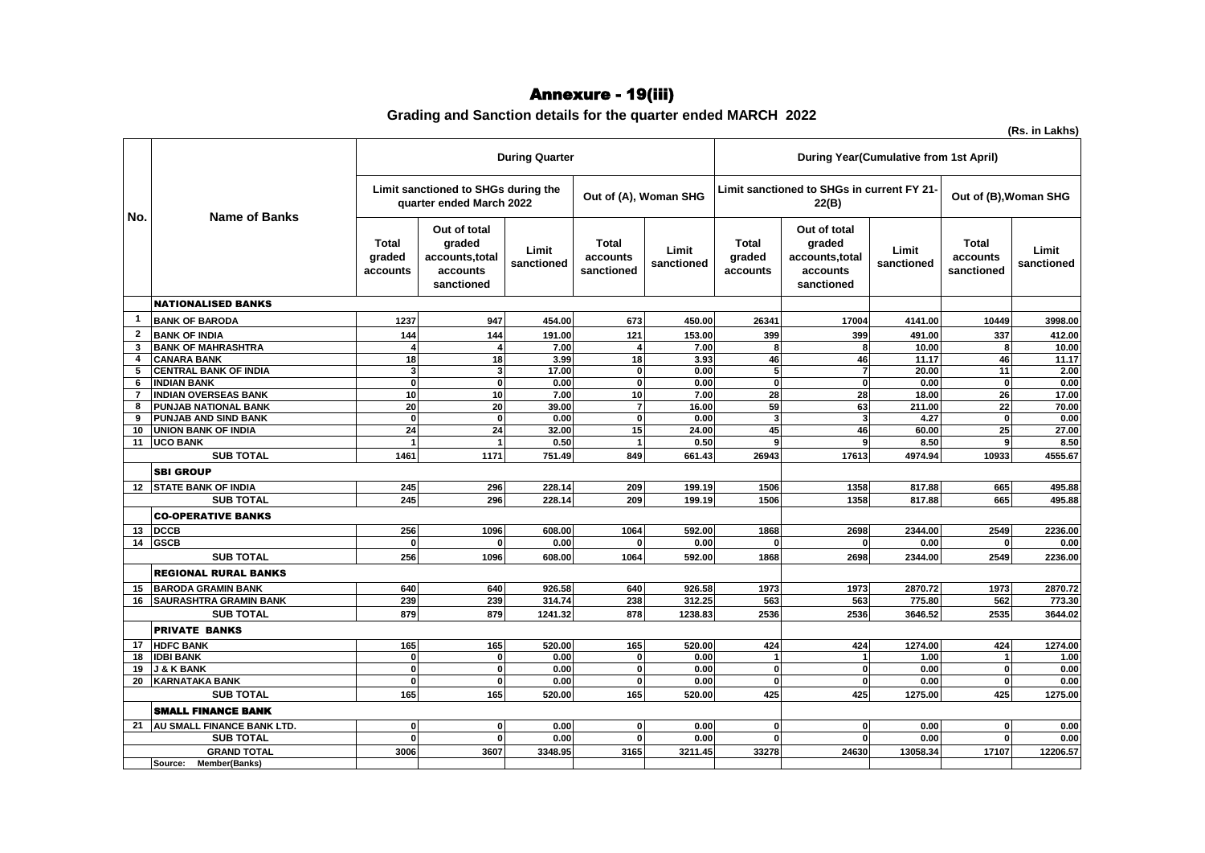## Annexure - 19(iii)

### **Grading and Sanction details for the quarter ended MARCH 2022**

|                |                               |                                    |                                                                     | <b>During Quarter</b> |                                        |                     | <b>During Year(Cumulative from 1st April)</b>       |                                                                    |                     |                                        |                     |  |
|----------------|-------------------------------|------------------------------------|---------------------------------------------------------------------|-----------------------|----------------------------------------|---------------------|-----------------------------------------------------|--------------------------------------------------------------------|---------------------|----------------------------------------|---------------------|--|
| No.            | <b>Name of Banks</b>          |                                    | Limit sanctioned to SHGs during the<br>quarter ended March 2022     |                       | Out of (A), Woman SHG                  |                     | Limit sanctioned to SHGs in current FY 21-<br>22(B) |                                                                    |                     | Out of (B), Woman SHG                  |                     |  |
|                |                               | <b>Total</b><br>graded<br>accounts | Out of total<br>graded<br>accounts, total<br>accounts<br>sanctioned | Limit<br>sanctioned   | <b>Total</b><br>accounts<br>sanctioned | Limit<br>sanctioned | <b>Total</b><br>graded<br>accounts                  | Out of total<br>graded<br>accounts,total<br>accounts<br>sanctioned | Limit<br>sanctioned | <b>Total</b><br>accounts<br>sanctioned | Limit<br>sanctioned |  |
|                | <b>NATIONALISED BANKS</b>     |                                    |                                                                     |                       |                                        |                     |                                                     |                                                                    |                     |                                        |                     |  |
| $\mathbf{1}$   | <b>BANK OF BARODA</b>         | 1237                               | 947                                                                 | 454.00                | 673                                    | 450.00              | 26341                                               | 17004                                                              | 4141.00             | 10449                                  | 3998.00             |  |
| $\overline{2}$ | <b>BANK OF INDIA</b>          | 144                                | 144                                                                 | 191.00                | 121                                    | 153.00              | 399                                                 | 399                                                                | 491.00              | 337                                    | 412.00              |  |
| 3              | <b>BANK OF MAHRASHTRA</b>     | $\overline{a}$                     |                                                                     | 7.00                  | 4                                      | 7.00                | 8                                                   | 8                                                                  | 10.00               | 8                                      | 10.00               |  |
| 4              | <b>CANARA BANK</b>            | 18                                 | 18                                                                  | 3.99                  | 18                                     | 3.93                | 46                                                  | 46                                                                 | 11.17               | 46                                     | 11.17               |  |
| 5              | <b>CENTRAL BANK OF INDIA</b>  | 3                                  | 3                                                                   | 17.00                 | $\mathbf{0}$                           | 0.00                | 5 <sup>1</sup>                                      | $\overline{7}$                                                     | 20.00               | 11                                     | 2.00                |  |
| 6              | <b>INDIAN BANK</b>            | $\mathbf{0}$                       | $\mathbf{0}$                                                        | 0.00                  | $\mathbf{0}$                           | 0.00                | $\mathbf{0}$                                        | $\mathbf 0$                                                        | 0.00                | $\mathbf{0}$                           | 0.00                |  |
| 7              | <b>INDIAN OVERSEAS BANK</b>   | 10                                 | 10                                                                  | 7.00                  | 10                                     | 7.00                | 28                                                  | 28                                                                 | 18.00               | 26                                     | 17.00               |  |
| 8              | PUNJAB NATIONAL BANK          | 20                                 | 20                                                                  | 39.00                 | $\overline{7}$                         | 16.00               | 59                                                  | 63                                                                 | 211.00              | 22                                     | 70.00               |  |
| 9              | PUNJAB AND SIND BANK          | $\mathbf{0}$                       | $\mathbf{0}$                                                        | 0.00                  | $\mathbf{0}$                           | 0.00                | 3 <sup>l</sup>                                      | 3                                                                  | 4.27                | $\mathbf{0}$                           | 0.00                |  |
| 10             | <b>UNION BANK OF INDIA</b>    | 24<br>$\overline{\mathbf{1}}$      | 24                                                                  | 32.00                 | 15                                     | 24.00               | 45<br>9                                             | 46                                                                 | 60.00               | 25                                     | 27.00               |  |
| 11             | <b>UCO BANK</b>               |                                    | $\mathbf 1$                                                         | 0.50                  | $\mathbf 1$                            | 0.50                |                                                     | 9                                                                  | 8.50                | 9                                      | 8.50                |  |
|                | <b>SUB TOTAL</b>              | 1461                               | 1171                                                                | 751.49                | 849                                    | 661.43              | 26943                                               | 17613                                                              | 4974.94             | 10933                                  | 4555.67             |  |
|                | <b>SBI GROUP</b>              |                                    |                                                                     |                       |                                        |                     |                                                     |                                                                    |                     |                                        |                     |  |
| 12             | <b>STATE BANK OF INDIA</b>    | 245                                | 296                                                                 | 228.14                | 209                                    | 199.19              | 1506                                                | 1358                                                               | 817.88              | 665                                    | 495.88              |  |
|                | <b>SUB TOTAL</b>              | 245                                | 296                                                                 | 228.14                | 209                                    | 199.19              | 1506                                                | 1358                                                               | 817.88              | 665                                    | 495.88              |  |
|                | <b>CO-OPERATIVE BANKS</b>     |                                    |                                                                     |                       |                                        |                     |                                                     |                                                                    |                     |                                        |                     |  |
| 13             | <b>DCCB</b>                   | 256                                | 1096                                                                | 608.00                | 1064                                   | 592.00              | 1868                                                | 2698                                                               | 2344.00             | 2549                                   | 2236.00             |  |
| 14             | <b>GSCB</b>                   | $\mathbf{0}$                       | $\bf{0}$                                                            | 0.00                  | $\bf{0}$                               | 0.00                | 0                                                   | 0                                                                  | 0.00                | $\mathbf{0}$                           | 0.00                |  |
|                | <b>SUB TOTAL</b>              | 256                                | 1096                                                                | 608.00                | 1064                                   | 592.00              | 1868                                                | 2698                                                               | 2344.00             | 2549                                   | 2236.00             |  |
|                |                               |                                    |                                                                     |                       |                                        |                     |                                                     |                                                                    |                     |                                        |                     |  |
|                | <b>REGIONAL RURAL BANKS</b>   |                                    |                                                                     |                       |                                        |                     |                                                     |                                                                    |                     |                                        |                     |  |
| 15             | <b>BARODA GRAMIN BANK</b>     | 640                                | 640                                                                 | 926.58                | 640                                    | 926.58              | 1973                                                | 1973                                                               | 2870.72             | 1973                                   | 2870.72             |  |
| 16             | <b>SAURASHTRA GRAMIN BANK</b> | 239                                | 239                                                                 | 314.74                | 238                                    | 312.25              | 563                                                 | 563                                                                | 775.80              | 562                                    | 773.30              |  |
|                | <b>SUB TOTAL</b>              | 879                                | 879                                                                 | 1241.32               | 878                                    | 1238.83             | 2536                                                | 2536                                                               | 3646.52             | 2535                                   | 3644.02             |  |
|                | <b>PRIVATE BANKS</b>          |                                    |                                                                     |                       |                                        |                     |                                                     |                                                                    |                     |                                        |                     |  |
| 17             | <b>HDFC BANK</b>              | 165                                | 165                                                                 | 520.00                | 165                                    | 520.00              | 424                                                 | 424                                                                | 1274.00             | 424                                    | 1274.00             |  |
| 18             | <b>IDBI BANK</b>              | $\mathbf{0}$                       | $\bf{0}$                                                            | 0.00                  | $\mathbf 0$                            | 0.00                |                                                     |                                                                    | 1.00                | $\overline{\mathbf{1}}$                | 1.00                |  |
| 19             | <b>J &amp; K BANK</b>         | $\mathbf 0$                        | $\mathbf{0}$                                                        | 0.00                  | $\mathbf{0}$                           | 0.00                | $\mathbf{0}$                                        | $\mathbf 0$                                                        | 0.00                | $\mathbf{0}$                           | 0.00                |  |
| 20             | <b>KARNATAKA BANK</b>         | $\mathbf{0}$                       | $\bf{0}$                                                            | 0.00                  | $\mathbf{0}$                           | 0.00                | $\mathbf{0}$                                        | $\bf{0}$                                                           | 0.00                | $\mathbf 0$                            | 0.00                |  |
|                | <b>SUB TOTAL</b>              | 165                                | 165                                                                 | 520.00                | 165                                    | 520.00              | 425                                                 | 425                                                                | 1275.00             | 425                                    | 1275.00             |  |
|                | <b>SMALL FINANCE BANK</b>     |                                    |                                                                     |                       |                                        |                     |                                                     |                                                                    |                     |                                        |                     |  |
| 21             | AU SMALL FINANCE BANK LTD.    | $\mathbf{0}$                       | $\mathbf{0}$                                                        | 0.00                  | $\mathbf{0}$                           | 0.00                | 0                                                   | $\bf{0}$                                                           | 0.00                | $\Omega$                               | 0.00                |  |
|                | <b>SUB TOTAL</b>              | $\mathbf{0}$                       | $\Omega$                                                            | 0.00                  | $\mathbf 0$                            | 0.00                |                                                     | $\Omega$                                                           | 0.00                | $\Omega$                               | 0.00                |  |
|                | <b>GRAND TOTAL</b>            | 3006                               | 3607                                                                | 3348.95               | 3165                                   | 3211.45             | 33278                                               | 24630                                                              | 13058.34            | 17107                                  | 12206.57            |  |
|                | Source:<br>Member(Banks)      |                                    |                                                                     |                       |                                        |                     |                                                     |                                                                    |                     |                                        |                     |  |

**(Rs. in Lakhs)**